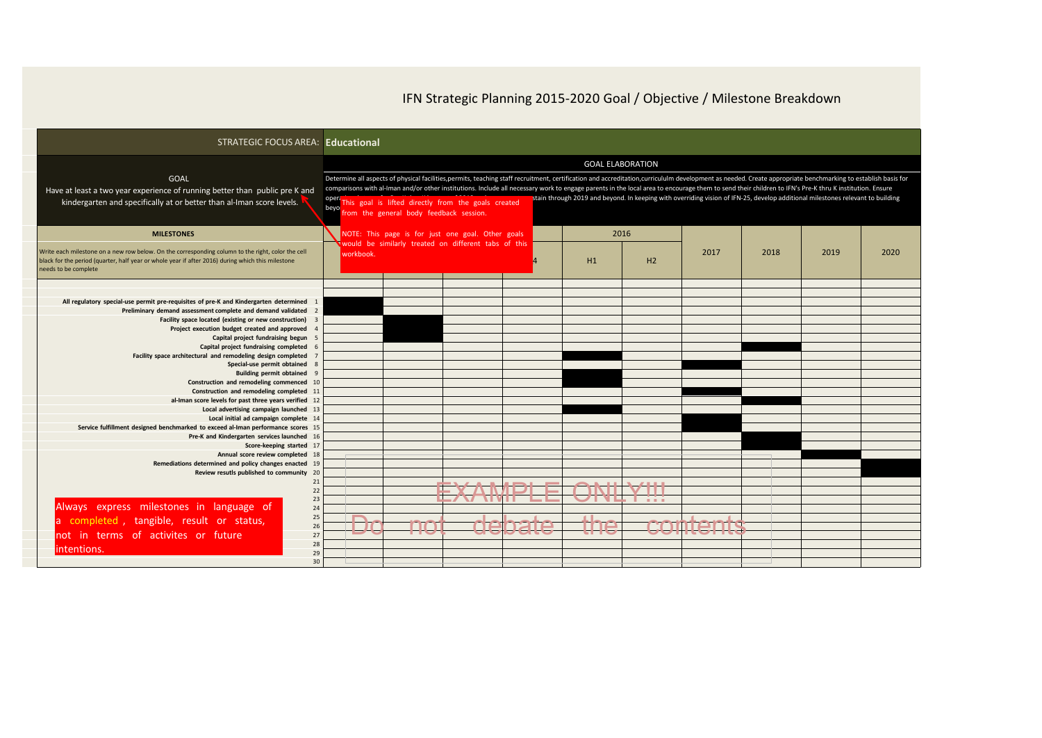| IFN Strategic Planning 2015-2020 Goal / Objective / Milestone Breakdown |  |
|-------------------------------------------------------------------------|--|
|-------------------------------------------------------------------------|--|

| <b>STRATEGIC FOCUS AREA: Educational</b>                                                                                                                                                                                       |                                                                                                                                                                                                                                                                                                                                                                                                                                                                                                                                               |    |               |                                                                                                                                                           |      |                   |      |      |      |
|--------------------------------------------------------------------------------------------------------------------------------------------------------------------------------------------------------------------------------|-----------------------------------------------------------------------------------------------------------------------------------------------------------------------------------------------------------------------------------------------------------------------------------------------------------------------------------------------------------------------------------------------------------------------------------------------------------------------------------------------------------------------------------------------|----|---------------|-----------------------------------------------------------------------------------------------------------------------------------------------------------|------|-------------------|------|------|------|
| <b>GOAL</b><br>Have at least a two year experience of running better than public pre K and<br>kindergarten and specifically at or better than al-Iman score levels.                                                            | Determine all aspects of physical facilities,permits, teaching staff recruitment, certification and accreditation,curricululm development as needed. Create appropriate benchmarking to establish basis for<br>comparisons with al-Iman and/or other institutions. Include all necessary work to engage parents in the local area to encourage them to send their children to IFN's Pre-K thru K institution. Ensure<br>oper <sub>i</sub> This goal is lifted directly from the goals created<br>beyo from the general body feedback session. |    |               | <b>GOAL ELABORATION</b><br>stain through 2019 and beyond. In keeping with overriding vision of IFN-25, develop additional milestones relevant to building |      |                   |      |      |      |
| <b>MILESTONES</b>                                                                                                                                                                                                              | NOTE: This page is for just one goal. Other goals<br>would be similarly treated on different tabs of this                                                                                                                                                                                                                                                                                                                                                                                                                                     |    |               |                                                                                                                                                           | 2016 |                   |      |      |      |
| Write each milestone on a new row below. On the corresponding column to the right, color the cell<br>black for the period (quarter, half year or whole year if after 2016) during which this milestone<br>needs to be complete | workbook.                                                                                                                                                                                                                                                                                                                                                                                                                                                                                                                                     |    |               | H1                                                                                                                                                        | H2   | 2017              | 2018 | 2019 | 2020 |
|                                                                                                                                                                                                                                |                                                                                                                                                                                                                                                                                                                                                                                                                                                                                                                                               |    |               |                                                                                                                                                           |      |                   |      |      |      |
| All regulatory special-use permit pre-requisites of pre-K and Kindergarten determined<br>Preliminary demand assessment complete and demand validated                                                                           |                                                                                                                                                                                                                                                                                                                                                                                                                                                                                                                                               |    |               |                                                                                                                                                           |      |                   |      |      |      |
| Facility space located (existing or new construction)<br>Project execution budget created and approved                                                                                                                         |                                                                                                                                                                                                                                                                                                                                                                                                                                                                                                                                               |    |               |                                                                                                                                                           |      |                   |      |      |      |
| Capital project fundraising begun<br>Capital project fundraising completed                                                                                                                                                     |                                                                                                                                                                                                                                                                                                                                                                                                                                                                                                                                               |    |               |                                                                                                                                                           |      |                   |      |      |      |
| Facility space architectural and remodeling design completed<br>Special-use permit obtained                                                                                                                                    |                                                                                                                                                                                                                                                                                                                                                                                                                                                                                                                                               |    |               |                                                                                                                                                           |      |                   |      |      |      |
| <b>Building permit obtained</b><br>Construction and remodeling commenced 10                                                                                                                                                    |                                                                                                                                                                                                                                                                                                                                                                                                                                                                                                                                               |    |               |                                                                                                                                                           |      |                   |      |      |      |
| Construction and remodeling completed<br>al-Iman score levels for past three years verified                                                                                                                                    |                                                                                                                                                                                                                                                                                                                                                                                                                                                                                                                                               |    |               |                                                                                                                                                           |      |                   |      |      |      |
| Local advertising campaign launched<br>Local initial ad campaign complete 14                                                                                                                                                   |                                                                                                                                                                                                                                                                                                                                                                                                                                                                                                                                               |    |               |                                                                                                                                                           |      |                   |      |      |      |
| Service fulfillment designed benchmarked to exceed al-Iman performance scores 1!<br>Pre-K and Kindergarten services launched 16                                                                                                |                                                                                                                                                                                                                                                                                                                                                                                                                                                                                                                                               |    |               |                                                                                                                                                           |      |                   |      |      |      |
| Score-keeping started 1<br>Annual score review completed 18                                                                                                                                                                    |                                                                                                                                                                                                                                                                                                                                                                                                                                                                                                                                               |    |               |                                                                                                                                                           |      |                   |      |      |      |
| Remediations determined and policy changes enacted 19<br>Review resutls published to community 20                                                                                                                              |                                                                                                                                                                                                                                                                                                                                                                                                                                                                                                                                               |    |               |                                                                                                                                                           |      |                   |      |      |      |
|                                                                                                                                                                                                                                |                                                                                                                                                                                                                                                                                                                                                                                                                                                                                                                                               |    |               | EYAMDLE ANIIVIII                                                                                                                                          |      |                   |      |      |      |
| Always express milestones in language of                                                                                                                                                                                       |                                                                                                                                                                                                                                                                                                                                                                                                                                                                                                                                               |    |               | LAMINI LLI VITITII                                                                                                                                        |      |                   |      |      |      |
| a completed, tangible, result or status,<br>26                                                                                                                                                                                 | $\Box$<br><b>1</b> I                                                                                                                                                                                                                                                                                                                                                                                                                                                                                                                          |    |               | $\pm 1$                                                                                                                                                   |      |                   |      |      |      |
| not in terms of activites or future                                                                                                                                                                                            | P                                                                                                                                                                                                                                                                                                                                                                                                                                                                                                                                             | मम | <b>Cepate</b> |                                                                                                                                                           |      | <b>COLIFELITA</b> |      |      |      |
| lintentions.                                                                                                                                                                                                                   |                                                                                                                                                                                                                                                                                                                                                                                                                                                                                                                                               |    |               |                                                                                                                                                           |      |                   |      |      |      |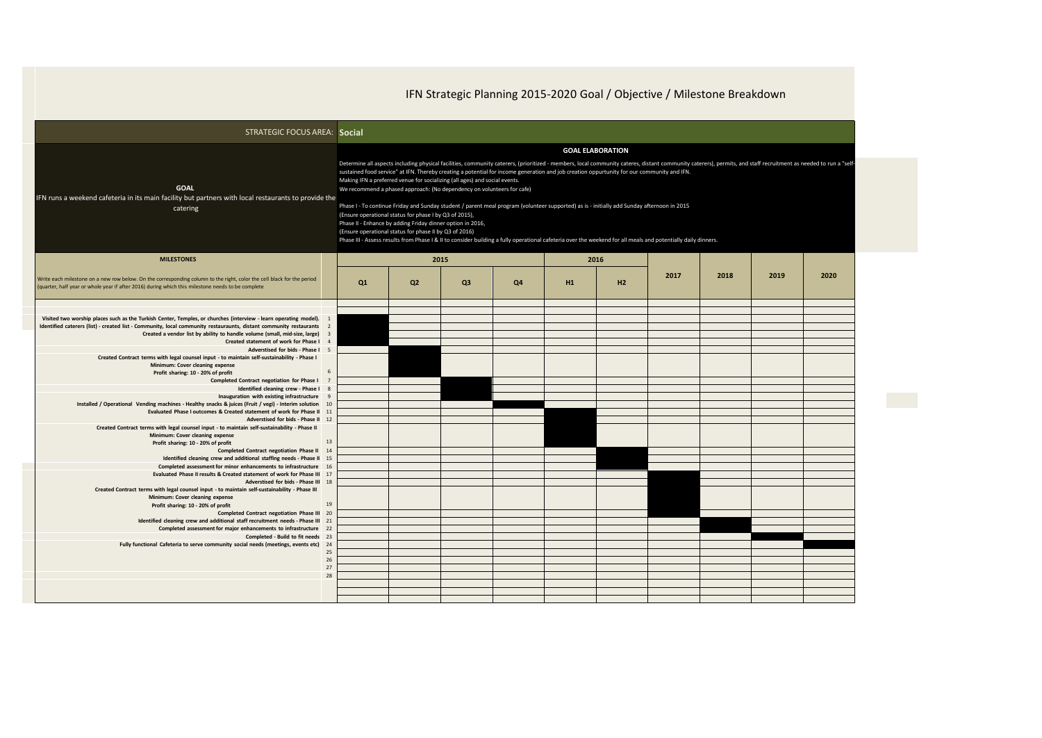IFN Strategic Planning 2015-2020 Goal / Objective / Milestone Breakdown

| <b>STRATEGIC FOCUS AREA: Social</b>                                                                                                                                                                                         |                                                   |                         |                                                                                                                                                                                                                                                                                                                                        |                |                                                                                                                                                                                                                                                                                                                                                                                                                                                           |    |      |                                                                                                                                                                                                                |      |      |      |  |  |
|-----------------------------------------------------------------------------------------------------------------------------------------------------------------------------------------------------------------------------|---------------------------------------------------|-------------------------|----------------------------------------------------------------------------------------------------------------------------------------------------------------------------------------------------------------------------------------------------------------------------------------------------------------------------------------|----------------|-----------------------------------------------------------------------------------------------------------------------------------------------------------------------------------------------------------------------------------------------------------------------------------------------------------------------------------------------------------------------------------------------------------------------------------------------------------|----|------|----------------------------------------------------------------------------------------------------------------------------------------------------------------------------------------------------------------|------|------|------|--|--|
|                                                                                                                                                                                                                             |                                                   | <b>GOAL ELABORATION</b> |                                                                                                                                                                                                                                                                                                                                        |                |                                                                                                                                                                                                                                                                                                                                                                                                                                                           |    |      |                                                                                                                                                                                                                |      |      |      |  |  |
| <b>GOAL</b><br>IFN runs a weekend cafeteria in its main facility but partners with local restaurants to provide the<br>catering                                                                                             |                                                   |                         | Making IFN a preferred venue for socializing (all ages) and social events.<br>We recommend a phased approach: (No dependency on volunteers for cafe)<br>(Ensure operational status for phase I by Q3 of 2015),<br>Phase II - Enhance by adding Friday dinner option in 2016,<br>(Ensure operational status for phase II by Q3 of 2016) |                | sustained food service" at IFN. Thereby creating a potential for income generation and job creation oppurtunity for our community and IFN.<br>Phase I - To continue Friday and Sunday student / parent meal program (volunteer supported) as is - initially add Sunday afternoon in 2015<br>Phase III - Assess results from Phase I & II to consider building a fully operational cafeteria over the weekend for all meals and potentially daily dinners. |    |      | Determine all aspects including physical facilities, community caterers, (prioritized - members, local community cateres, distant community caterers), permits, and staff recruitment as needed to run a "self |      |      |      |  |  |
| <b>MILESTONES</b>                                                                                                                                                                                                           |                                                   |                         |                                                                                                                                                                                                                                                                                                                                        | 2015           |                                                                                                                                                                                                                                                                                                                                                                                                                                                           |    | 2016 |                                                                                                                                                                                                                |      |      |      |  |  |
| Write each milestone on a new row below. On the corresponding column to the right, color the cell black for the period<br>(quarter, half year or whole year if after 2016) during which this milestone needs to be complete |                                                   | Q <sub>1</sub>          | Q <sub>2</sub>                                                                                                                                                                                                                                                                                                                         | Q <sub>3</sub> | Q4                                                                                                                                                                                                                                                                                                                                                                                                                                                        | H1 | H2   | 2017                                                                                                                                                                                                           | 2018 | 2019 | 2020 |  |  |
|                                                                                                                                                                                                                             |                                                   |                         |                                                                                                                                                                                                                                                                                                                                        |                |                                                                                                                                                                                                                                                                                                                                                                                                                                                           |    |      |                                                                                                                                                                                                                |      |      |      |  |  |
| Visited two worship places such as the Turkish Center, Temples, or churches (interview - learn operating model). 1                                                                                                          |                                                   |                         |                                                                                                                                                                                                                                                                                                                                        |                |                                                                                                                                                                                                                                                                                                                                                                                                                                                           |    |      |                                                                                                                                                                                                                |      |      |      |  |  |
| Identified caterers (list) - created list - Community, local community restauraunts, distant community restaurants 2                                                                                                        |                                                   |                         |                                                                                                                                                                                                                                                                                                                                        |                |                                                                                                                                                                                                                                                                                                                                                                                                                                                           |    |      |                                                                                                                                                                                                                |      |      |      |  |  |
| Created a vendor list by ability to handle volume (small, mid-size, large)<br>Created statement of work for Phase I                                                                                                         | $\overline{\mathbf{3}}$<br>$\boldsymbol{\Lambda}$ |                         |                                                                                                                                                                                                                                                                                                                                        |                |                                                                                                                                                                                                                                                                                                                                                                                                                                                           |    |      |                                                                                                                                                                                                                |      |      |      |  |  |
| Adverstised for bids - Phase I 5                                                                                                                                                                                            |                                                   |                         |                                                                                                                                                                                                                                                                                                                                        |                |                                                                                                                                                                                                                                                                                                                                                                                                                                                           |    |      |                                                                                                                                                                                                                |      |      |      |  |  |
| Created Contract terms with legal counsel input - to maintain self-sustainability - Phase I                                                                                                                                 |                                                   |                         |                                                                                                                                                                                                                                                                                                                                        |                |                                                                                                                                                                                                                                                                                                                                                                                                                                                           |    |      |                                                                                                                                                                                                                |      |      |      |  |  |
| Minimum: Cover cleaning expense                                                                                                                                                                                             | 6                                                 |                         |                                                                                                                                                                                                                                                                                                                                        |                |                                                                                                                                                                                                                                                                                                                                                                                                                                                           |    |      |                                                                                                                                                                                                                |      |      |      |  |  |
| Profit sharing: 10 - 20% of profit<br><b>Completed Contract negotiation for Phase I</b>                                                                                                                                     | -7                                                |                         |                                                                                                                                                                                                                                                                                                                                        |                |                                                                                                                                                                                                                                                                                                                                                                                                                                                           |    |      |                                                                                                                                                                                                                |      |      |      |  |  |
| Identified cleaning crew - Phase I                                                                                                                                                                                          | - 8                                               |                         |                                                                                                                                                                                                                                                                                                                                        |                |                                                                                                                                                                                                                                                                                                                                                                                                                                                           |    |      |                                                                                                                                                                                                                |      |      |      |  |  |
| Inauguration with existing infrastructure 9                                                                                                                                                                                 |                                                   |                         |                                                                                                                                                                                                                                                                                                                                        |                |                                                                                                                                                                                                                                                                                                                                                                                                                                                           |    |      |                                                                                                                                                                                                                |      |      |      |  |  |
| Installed / Operational Vending machines - Healthy snacks & juices (Fruit / vegi) - Interim solution 10<br>Evaluated Phase I outcomes & Created statement of work for Phase II 11                                           |                                                   |                         |                                                                                                                                                                                                                                                                                                                                        |                |                                                                                                                                                                                                                                                                                                                                                                                                                                                           |    |      |                                                                                                                                                                                                                |      |      |      |  |  |
| Adverstised for bids - Phase II 12                                                                                                                                                                                          |                                                   |                         |                                                                                                                                                                                                                                                                                                                                        |                |                                                                                                                                                                                                                                                                                                                                                                                                                                                           |    |      |                                                                                                                                                                                                                |      |      |      |  |  |
| Created Contract terms with legal counsel input - to maintain self-sustainability - Phase II                                                                                                                                |                                                   |                         |                                                                                                                                                                                                                                                                                                                                        |                |                                                                                                                                                                                                                                                                                                                                                                                                                                                           |    |      |                                                                                                                                                                                                                |      |      |      |  |  |
| Minimum: Cover cleaning expense<br>Profit sharing: 10 - 20% of profit                                                                                                                                                       | 13                                                |                         |                                                                                                                                                                                                                                                                                                                                        |                |                                                                                                                                                                                                                                                                                                                                                                                                                                                           |    |      |                                                                                                                                                                                                                |      |      |      |  |  |
| Completed Contract negotiation Phase II 14                                                                                                                                                                                  |                                                   |                         |                                                                                                                                                                                                                                                                                                                                        |                |                                                                                                                                                                                                                                                                                                                                                                                                                                                           |    |      |                                                                                                                                                                                                                |      |      |      |  |  |
| Identified cleaning crew and additional staffing needs - Phase II 15                                                                                                                                                        |                                                   |                         |                                                                                                                                                                                                                                                                                                                                        |                |                                                                                                                                                                                                                                                                                                                                                                                                                                                           |    |      |                                                                                                                                                                                                                |      |      |      |  |  |
| Completed assessment for minor enhancements to infrastructure 16<br>Evaluated Phase II results & Created statement of work for Phase III                                                                                    | 17                                                |                         |                                                                                                                                                                                                                                                                                                                                        |                |                                                                                                                                                                                                                                                                                                                                                                                                                                                           |    |      |                                                                                                                                                                                                                |      |      |      |  |  |
| Adverstised for bids - Phase III 18                                                                                                                                                                                         |                                                   |                         |                                                                                                                                                                                                                                                                                                                                        |                |                                                                                                                                                                                                                                                                                                                                                                                                                                                           |    |      |                                                                                                                                                                                                                |      |      |      |  |  |
| Created Contract terms with legal counsel input - to maintain self-sustainability - Phase III                                                                                                                               |                                                   |                         |                                                                                                                                                                                                                                                                                                                                        |                |                                                                                                                                                                                                                                                                                                                                                                                                                                                           |    |      |                                                                                                                                                                                                                |      |      |      |  |  |
| Minimum: Cover cleaning expense<br>Profit sharing: 10 - 20% of profit                                                                                                                                                       | 19                                                |                         |                                                                                                                                                                                                                                                                                                                                        |                |                                                                                                                                                                                                                                                                                                                                                                                                                                                           |    |      |                                                                                                                                                                                                                |      |      |      |  |  |
| Completed Contract negotiation Phase III 20                                                                                                                                                                                 |                                                   |                         |                                                                                                                                                                                                                                                                                                                                        |                |                                                                                                                                                                                                                                                                                                                                                                                                                                                           |    |      |                                                                                                                                                                                                                |      |      |      |  |  |
| Identified cleaning crew and additional staff recruitment needs - Phase III 21                                                                                                                                              |                                                   |                         |                                                                                                                                                                                                                                                                                                                                        |                |                                                                                                                                                                                                                                                                                                                                                                                                                                                           |    |      |                                                                                                                                                                                                                |      |      |      |  |  |
| Completed assessment for major enhancements to infrastructure 22<br>Completed - Build to fit needs 23                                                                                                                       |                                                   |                         |                                                                                                                                                                                                                                                                                                                                        |                |                                                                                                                                                                                                                                                                                                                                                                                                                                                           |    |      |                                                                                                                                                                                                                |      |      |      |  |  |
| Fully functional Cafeteria to serve community social needs (meetings, events etc) 24                                                                                                                                        |                                                   |                         |                                                                                                                                                                                                                                                                                                                                        |                |                                                                                                                                                                                                                                                                                                                                                                                                                                                           |    |      |                                                                                                                                                                                                                |      |      |      |  |  |
|                                                                                                                                                                                                                             | 25                                                |                         |                                                                                                                                                                                                                                                                                                                                        |                |                                                                                                                                                                                                                                                                                                                                                                                                                                                           |    |      |                                                                                                                                                                                                                |      |      |      |  |  |
|                                                                                                                                                                                                                             | 26<br>27                                          |                         |                                                                                                                                                                                                                                                                                                                                        |                |                                                                                                                                                                                                                                                                                                                                                                                                                                                           |    |      |                                                                                                                                                                                                                |      |      |      |  |  |
|                                                                                                                                                                                                                             | 28                                                |                         |                                                                                                                                                                                                                                                                                                                                        |                |                                                                                                                                                                                                                                                                                                                                                                                                                                                           |    |      |                                                                                                                                                                                                                |      |      |      |  |  |
|                                                                                                                                                                                                                             |                                                   |                         |                                                                                                                                                                                                                                                                                                                                        |                |                                                                                                                                                                                                                                                                                                                                                                                                                                                           |    |      |                                                                                                                                                                                                                |      |      |      |  |  |
|                                                                                                                                                                                                                             |                                                   |                         |                                                                                                                                                                                                                                                                                                                                        |                |                                                                                                                                                                                                                                                                                                                                                                                                                                                           |    |      |                                                                                                                                                                                                                |      |      |      |  |  |
|                                                                                                                                                                                                                             |                                                   |                         |                                                                                                                                                                                                                                                                                                                                        |                |                                                                                                                                                                                                                                                                                                                                                                                                                                                           |    |      |                                                                                                                                                                                                                |      |      |      |  |  |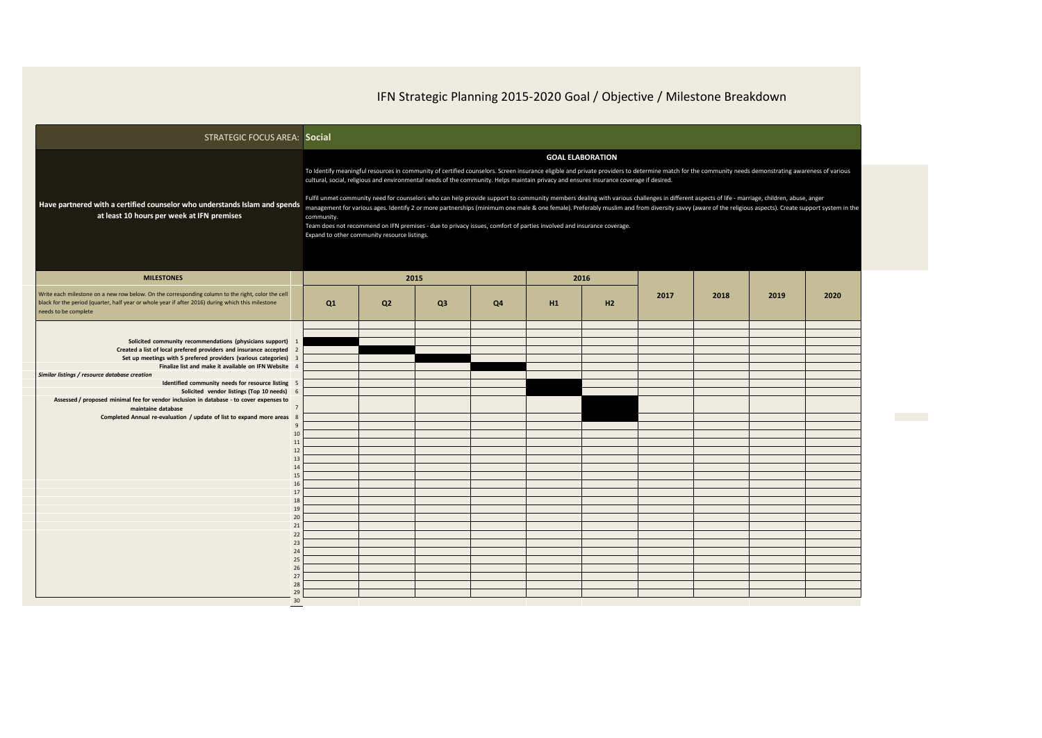## IFN Strategic Planning 2015-2020 Goal / Objective / Milestone Breakdown

| <b>STRATEGIC FOCUS AREA: Social</b>                                                                                                                                                                                                                                                                                                                                                                                                                                                                                              |                                                                                                                                                                                                                                                                                                                                                                                                                                                                                                                                                                                                                                                                                                                                                                                                                                                                                                                                                                             |                |                        |    |    |            |      |      |      |      |  |  |
|----------------------------------------------------------------------------------------------------------------------------------------------------------------------------------------------------------------------------------------------------------------------------------------------------------------------------------------------------------------------------------------------------------------------------------------------------------------------------------------------------------------------------------|-----------------------------------------------------------------------------------------------------------------------------------------------------------------------------------------------------------------------------------------------------------------------------------------------------------------------------------------------------------------------------------------------------------------------------------------------------------------------------------------------------------------------------------------------------------------------------------------------------------------------------------------------------------------------------------------------------------------------------------------------------------------------------------------------------------------------------------------------------------------------------------------------------------------------------------------------------------------------------|----------------|------------------------|----|----|------------|------|------|------|------|--|--|
| Have partnered with a certified counselor who understands Islam and spends<br>at least 10 hours per week at IFN premises                                                                                                                                                                                                                                                                                                                                                                                                         | <b>GOAL ELABORATION</b><br>To Identify meaningful resources in community of certified counselors. Screen insurance eligible and private providers to determine match for the community needs demonstrating awareness of various<br>cultural, social, religious and environmental needs of the community. Helps maintain privacy and ensures insurance coverage if desired.<br>Fulfil unmet community need for counselors who can help provide support to community members dealing with various challenges in different aspects of life - marriage, children, abuse, anger<br>management for various ages. Identify 2 or more partnerships (minimum one male & one female). Preferably muslim and from diversity savvy (aware of the religious aspects). Create support system in the<br>community.<br>Team does not recommend on IFN premises - due to privacy issues, comfort of parties involved and insurance coverage.<br>Expand to other community resource listings. |                |                        |    |    |            |      |      |      |      |  |  |
| <b>MILESTONES</b><br>Write each milestone on a new row below. On the corresponding column to the right, color the cell<br>black for the period (quarter, half year or whole year if after 2016) during which this milestone<br>needs to be complete                                                                                                                                                                                                                                                                              | Q1                                                                                                                                                                                                                                                                                                                                                                                                                                                                                                                                                                                                                                                                                                                                                                                                                                                                                                                                                                          | Q <sub>2</sub> | 2015<br>Q <sub>3</sub> | Q4 | H1 | 2016<br>H2 | 2017 | 2018 | 2019 | 2020 |  |  |
| Solicited community recommendations (physicians support) 1<br>Created a list of local prefered providers and insurance accepted 2<br>Set up meetings with 5 prefered providers (various categories) 3<br>Finalize list and make it available on IFN Website 4<br>Similar listings / resource database creation<br>Identified community needs for resource listing 5<br>Solicited vendor listings (Top 10 needs)<br>Assessed / proposed minimal fee for vendor inclusion in database - to cover expenses to<br>maintaine database |                                                                                                                                                                                                                                                                                                                                                                                                                                                                                                                                                                                                                                                                                                                                                                                                                                                                                                                                                                             |                |                        |    |    |            |      |      |      |      |  |  |
| Completed Annual re-evaluation / update of list to expand more areas 8<br>$\mathbf{q}$<br>10<br>11<br>12<br>13<br>14<br>15<br>16<br>17<br>18                                                                                                                                                                                                                                                                                                                                                                                     |                                                                                                                                                                                                                                                                                                                                                                                                                                                                                                                                                                                                                                                                                                                                                                                                                                                                                                                                                                             |                |                        |    |    |            |      |      |      |      |  |  |
| 19<br>20<br>21<br>22<br>23<br>24<br>25<br>26<br>27<br>28<br>29                                                                                                                                                                                                                                                                                                                                                                                                                                                                   |                                                                                                                                                                                                                                                                                                                                                                                                                                                                                                                                                                                                                                                                                                                                                                                                                                                                                                                                                                             |                |                        |    |    |            |      |      |      |      |  |  |